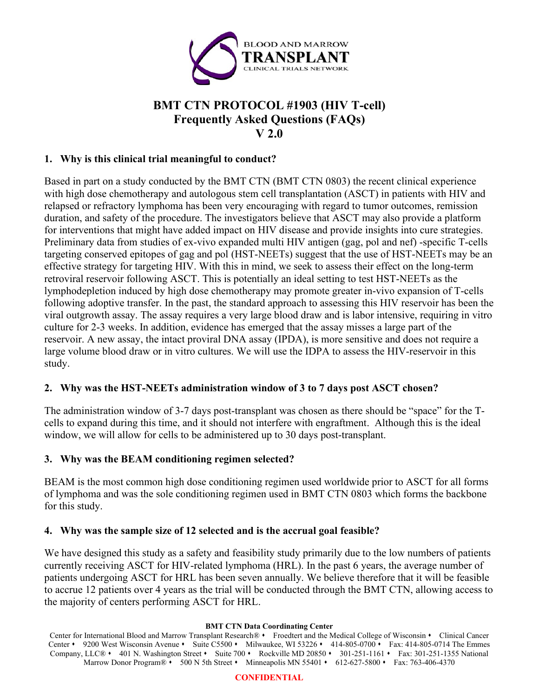

# **BMT CTN PROTOCOL #1903 (HIV T-cell) Frequently Asked Questions (FAQs) V 2.0**

### **1. Why is this clinical trial meaningful to conduct?**

Based in part on a study conducted by the BMT CTN (BMT CTN 0803) the recent clinical experience with high dose chemotherapy and autologous stem cell transplantation (ASCT) in patients with HIV and relapsed or refractory lymphoma has been very encouraging with regard to tumor outcomes, remission duration, and safety of the procedure. The investigators believe that ASCT may also provide a platform for interventions that might have added impact on HIV disease and provide insights into cure strategies. Preliminary data from studies of ex-vivo expanded multi HIV antigen (gag, pol and nef) -specific T-cells targeting conserved epitopes of gag and pol (HST-NEETs) suggest that the use of HST-NEETs may be an effective strategy for targeting HIV. With this in mind, we seek to assess their effect on the long-term retroviral reservoir following ASCT. This is potentially an ideal setting to test HST-NEETs as the lymphodepletion induced by high dose chemotherapy may promote greater in-vivo expansion of T-cells following adoptive transfer. In the past, the standard approach to assessing this HIV reservoir has been the viral outgrowth assay. The assay requires a very large blood draw and is labor intensive, requiring in vitro culture for 2-3 weeks. In addition, evidence has emerged that the assay misses a large part of the reservoir. A new assay, the intact proviral DNA assay (IPDA), is more sensitive and does not require a large volume blood draw or in vitro cultures. We will use the IDPA to assess the HIV-reservoir in this study.

# **2. Why was the HST-NEETs administration window of 3 to 7 days post ASCT chosen?**

The administration window of 3-7 days post-transplant was chosen as there should be "space" for the Tcells to expand during this time, and it should not interfere with engraftment. Although this is the ideal window, we will allow for cells to be administered up to 30 days post-transplant.

# **3. Why was the BEAM conditioning regimen selected?**

BEAM is the most common high dose conditioning regimen used worldwide prior to ASCT for all forms of lymphoma and was the sole conditioning regimen used in BMT CTN 0803 which forms the backbone for this study.

#### **4. Why was the sample size of 12 selected and is the accrual goal feasible?**

We have designed this study as a safety and feasibility study primarily due to the low numbers of patients currently receiving ASCT for HIV-related lymphoma (HRL). In the past 6 years, the average number of patients undergoing ASCT for HRL has been seven annually. We believe therefore that it will be feasible to accrue 12 patients over 4 years as the trial will be conducted through the BMT CTN, allowing access to the majority of centers performing ASCT for HRL.

#### **BMT CTN Data Coordinating Center**